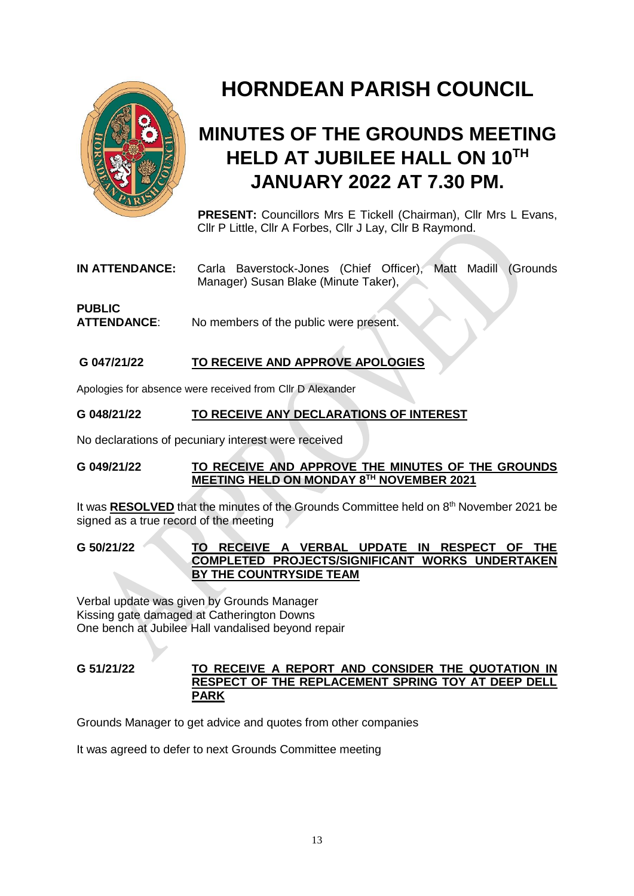

# **HORNDEAN PARISH COUNCIL**

## **MINUTES OF THE GROUNDS MEETING HELD AT JUBILEE HALL ON 10TH JANUARY 2022 AT 7.30 PM.**

**PRESENT:** Councillors Mrs E Tickell (Chairman), Cllr Mrs L Evans, Cllr P Little, Cllr A Forbes, Cllr J Lay, Cllr B Raymond.

**IN ATTENDANCE:** Carla Baverstock-Jones (Chief Officer), Matt Madill (Grounds Manager) Susan Blake (Minute Taker),

## **PUBLIC ATTENDANCE**: No members of the public were present.

#### **G 047/21/22 TO RECEIVE AND APPROVE APOLOGIES**

Apologies for absence were received from Cllr D Alexander

#### **G 048/21/22 TO RECEIVE ANY DECLARATIONS OF INTEREST**

No declarations of pecuniary interest were received

#### **G 049/21/22 TO RECEIVE AND APPROVE THE MINUTES OF THE GROUNDS MEETING HELD ON MONDAY 8TH NOVEMBER 2021**

It was **RESOLVED** that the minutes of the Grounds Committee held on 8<sup>th</sup> November 2021 be signed as a true record of the meeting

**G 50/21/22 TO RECEIVE A VERBAL UPDATE IN RESPECT OF THE COMPLETED PROJECTS/SIGNIFICANT WORKS UNDERTAKEN BY THE COUNTRYSIDE TEAM**

Verbal update was given by Grounds Manager Kissing gate damaged at Catherington Downs One bench at Jubilee Hall vandalised beyond repair

#### **G 51/21/22 TO RECEIVE A REPORT AND CONSIDER THE QUOTATION IN RESPECT OF THE REPLACEMENT SPRING TOY AT DEEP DELL PARK**

Grounds Manager to get advice and quotes from other companies

It was agreed to defer to next Grounds Committee meeting